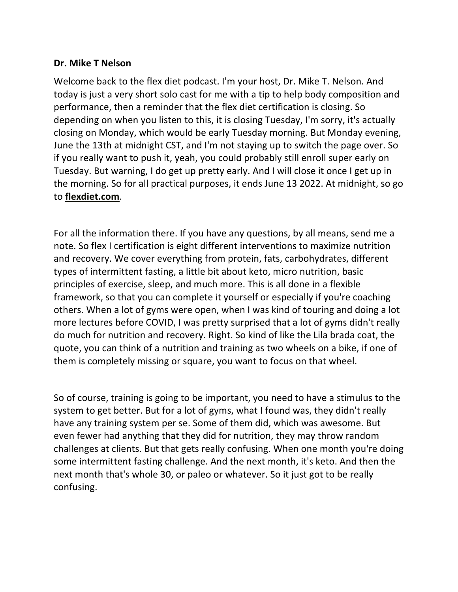## **Dr. Mike T Nelson**

Welcome back to the flex diet podcast. I'm your host, Dr. Mike T. Nelson. And today is just a very short solo cast for me with a tip to help body composition and performance, then a reminder that the flex diet certification is closing. So depending on when you listen to this, it is closing Tuesday, I'm sorry, it's actually closing on Monday, which would be early Tuesday morning. But Monday evening, June the 13th at midnight CST, and I'm not staying up to switch the page over. So if you really want to push it, yeah, you could probably still enroll super early on Tuesday. But warning, I do get up pretty early. And I will close it once I get up in the morning. So for all practical purposes, it ends June 13 2022. At midnight, so go to **flexdiet.com**.

For all the information there. If you have any questions, by all means, send me a note. So flex I certification is eight different interventions to maximize nutrition and recovery. We cover everything from protein, fats, carbohydrates, different types of intermittent fasting, a little bit about keto, micro nutrition, basic principles of exercise, sleep, and much more. This is all done in a flexible framework, so that you can complete it yourself or especially if you're coaching others. When a lot of gyms were open, when I was kind of touring and doing a lot more lectures before COVID, I was pretty surprised that a lot of gyms didn't really do much for nutrition and recovery. Right. So kind of like the Lila brada coat, the quote, you can think of a nutrition and training as two wheels on a bike, if one of them is completely missing or square, you want to focus on that wheel.

So of course, training is going to be important, you need to have a stimulus to the system to get better. But for a lot of gyms, what I found was, they didn't really have any training system per se. Some of them did, which was awesome. But even fewer had anything that they did for nutrition, they may throw random challenges at clients. But that gets really confusing. When one month you're doing some intermittent fasting challenge. And the next month, it's keto. And then the next month that's whole 30, or paleo or whatever. So it just got to be really confusing.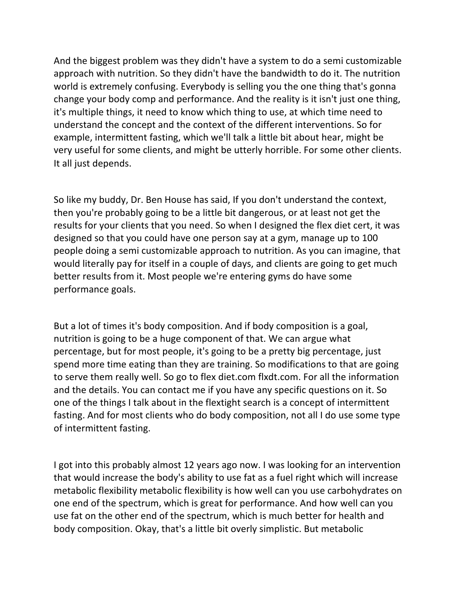And the biggest problem was they didn't have a system to do a semi customizable approach with nutrition. So they didn't have the bandwidth to do it. The nutrition world is extremely confusing. Everybody is selling you the one thing that's gonna change your body comp and performance. And the reality is it isn't just one thing, it's multiple things, it need to know which thing to use, at which time need to understand the concept and the context of the different interventions. So for example, intermittent fasting, which we'll talk a little bit about hear, might be very useful for some clients, and might be utterly horrible. For some other clients. It all just depends.

So like my buddy, Dr. Ben House has said, If you don't understand the context, then you're probably going to be a little bit dangerous, or at least not get the results for your clients that you need. So when I designed the flex diet cert, it was designed so that you could have one person say at a gym, manage up to 100 people doing a semi customizable approach to nutrition. As you can imagine, that would literally pay for itself in a couple of days, and clients are going to get much better results from it. Most people we're entering gyms do have some performance goals.

But a lot of times it's body composition. And if body composition is a goal, nutrition is going to be a huge component of that. We can argue what percentage, but for most people, it's going to be a pretty big percentage, just spend more time eating than they are training. So modifications to that are going to serve them really well. So go to flex diet.com flxdt.com. For all the information and the details. You can contact me if you have any specific questions on it. So one of the things I talk about in the flextight search is a concept of intermittent fasting. And for most clients who do body composition, not all I do use some type of intermittent fasting.

I got into this probably almost 12 years ago now. I was looking for an intervention that would increase the body's ability to use fat as a fuel right which will increase metabolic flexibility metabolic flexibility is how well can you use carbohydrates on one end of the spectrum, which is great for performance. And how well can you use fat on the other end of the spectrum, which is much better for health and body composition. Okay, that's a little bit overly simplistic. But metabolic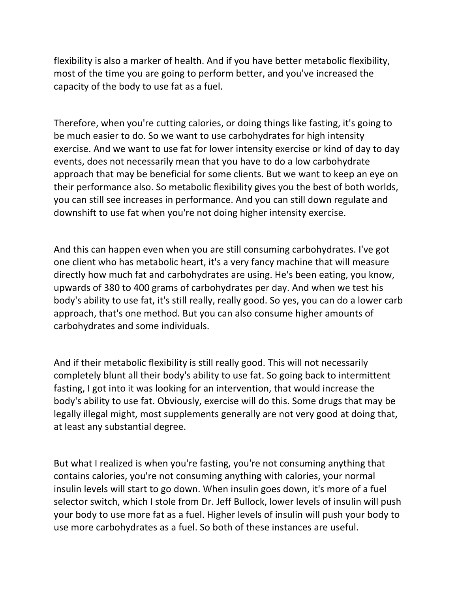flexibility is also a marker of health. And if you have better metabolic flexibility, most of the time you are going to perform better, and you've increased the capacity of the body to use fat as a fuel.

Therefore, when you're cutting calories, or doing things like fasting, it's going to be much easier to do. So we want to use carbohydrates for high intensity exercise. And we want to use fat for lower intensity exercise or kind of day to day events, does not necessarily mean that you have to do a low carbohydrate approach that may be beneficial for some clients. But we want to keep an eye on their performance also. So metabolic flexibility gives you the best of both worlds, you can still see increases in performance. And you can still down regulate and downshift to use fat when you're not doing higher intensity exercise.

And this can happen even when you are still consuming carbohydrates. I've got one client who has metabolic heart, it's a very fancy machine that will measure directly how much fat and carbohydrates are using. He's been eating, you know, upwards of 380 to 400 grams of carbohydrates per day. And when we test his body's ability to use fat, it's still really, really good. So yes, you can do a lower carb approach, that's one method. But you can also consume higher amounts of carbohydrates and some individuals.

And if their metabolic flexibility is still really good. This will not necessarily completely blunt all their body's ability to use fat. So going back to intermittent fasting, I got into it was looking for an intervention, that would increase the body's ability to use fat. Obviously, exercise will do this. Some drugs that may be legally illegal might, most supplements generally are not very good at doing that, at least any substantial degree.

But what I realized is when you're fasting, you're not consuming anything that contains calories, you're not consuming anything with calories, your normal insulin levels will start to go down. When insulin goes down, it's more of a fuel selector switch, which I stole from Dr. Jeff Bullock, lower levels of insulin will push your body to use more fat as a fuel. Higher levels of insulin will push your body to use more carbohydrates as a fuel. So both of these instances are useful.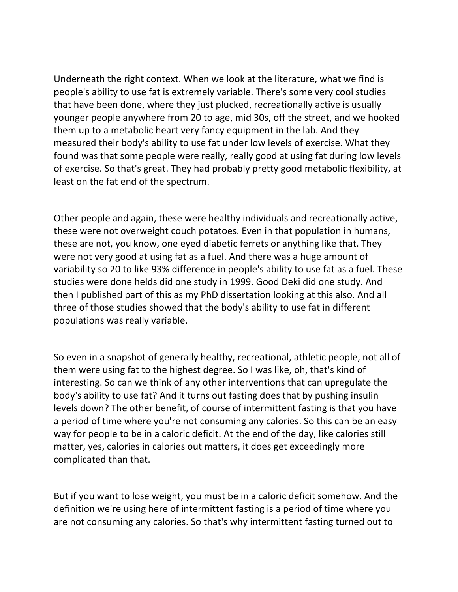Underneath the right context. When we look at the literature, what we find is people's ability to use fat is extremely variable. There's some very cool studies that have been done, where they just plucked, recreationally active is usually younger people anywhere from 20 to age, mid 30s, off the street, and we hooked them up to a metabolic heart very fancy equipment in the lab. And they measured their body's ability to use fat under low levels of exercise. What they found was that some people were really, really good at using fat during low levels of exercise. So that's great. They had probably pretty good metabolic flexibility, at least on the fat end of the spectrum.

Other people and again, these were healthy individuals and recreationally active, these were not overweight couch potatoes. Even in that population in humans, these are not, you know, one eyed diabetic ferrets or anything like that. They were not very good at using fat as a fuel. And there was a huge amount of variability so 20 to like 93% difference in people's ability to use fat as a fuel. These studies were done helds did one study in 1999. Good Deki did one study. And then I published part of this as my PhD dissertation looking at this also. And all three of those studies showed that the body's ability to use fat in different populations was really variable.

So even in a snapshot of generally healthy, recreational, athletic people, not all of them were using fat to the highest degree. So I was like, oh, that's kind of interesting. So can we think of any other interventions that can upregulate the body's ability to use fat? And it turns out fasting does that by pushing insulin levels down? The other benefit, of course of intermittent fasting is that you have a period of time where you're not consuming any calories. So this can be an easy way for people to be in a caloric deficit. At the end of the day, like calories still matter, yes, calories in calories out matters, it does get exceedingly more complicated than that.

But if you want to lose weight, you must be in a caloric deficit somehow. And the definition we're using here of intermittent fasting is a period of time where you are not consuming any calories. So that's why intermittent fasting turned out to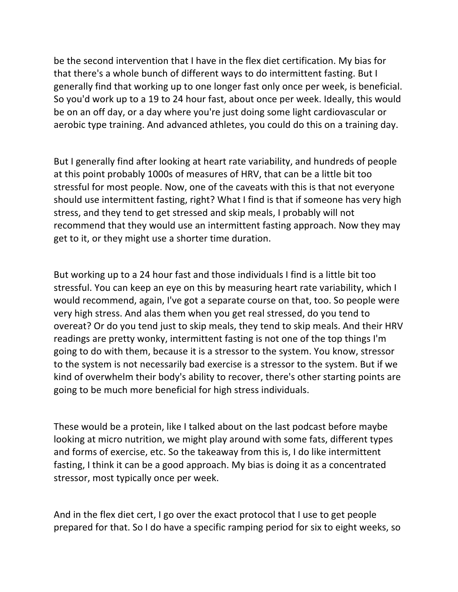be the second intervention that I have in the flex diet certification. My bias for that there's a whole bunch of different ways to do intermittent fasting. But I generally find that working up to one longer fast only once per week, is beneficial. So you'd work up to a 19 to 24 hour fast, about once per week. Ideally, this would be on an off day, or a day where you're just doing some light cardiovascular or aerobic type training. And advanced athletes, you could do this on a training day.

But I generally find after looking at heart rate variability, and hundreds of people at this point probably 1000s of measures of HRV, that can be a little bit too stressful for most people. Now, one of the caveats with this is that not everyone should use intermittent fasting, right? What I find is that if someone has very high stress, and they tend to get stressed and skip meals, I probably will not recommend that they would use an intermittent fasting approach. Now they may get to it, or they might use a shorter time duration.

But working up to a 24 hour fast and those individuals I find is a little bit too stressful. You can keep an eye on this by measuring heart rate variability, which I would recommend, again, I've got a separate course on that, too. So people were very high stress. And alas them when you get real stressed, do you tend to overeat? Or do you tend just to skip meals, they tend to skip meals. And their HRV readings are pretty wonky, intermittent fasting is not one of the top things I'm going to do with them, because it is a stressor to the system. You know, stressor to the system is not necessarily bad exercise is a stressor to the system. But if we kind of overwhelm their body's ability to recover, there's other starting points are going to be much more beneficial for high stress individuals.

These would be a protein, like I talked about on the last podcast before maybe looking at micro nutrition, we might play around with some fats, different types and forms of exercise, etc. So the takeaway from this is, I do like intermittent fasting, I think it can be a good approach. My bias is doing it as a concentrated stressor, most typically once per week.

And in the flex diet cert, I go over the exact protocol that I use to get people prepared for that. So I do have a specific ramping period for six to eight weeks, so